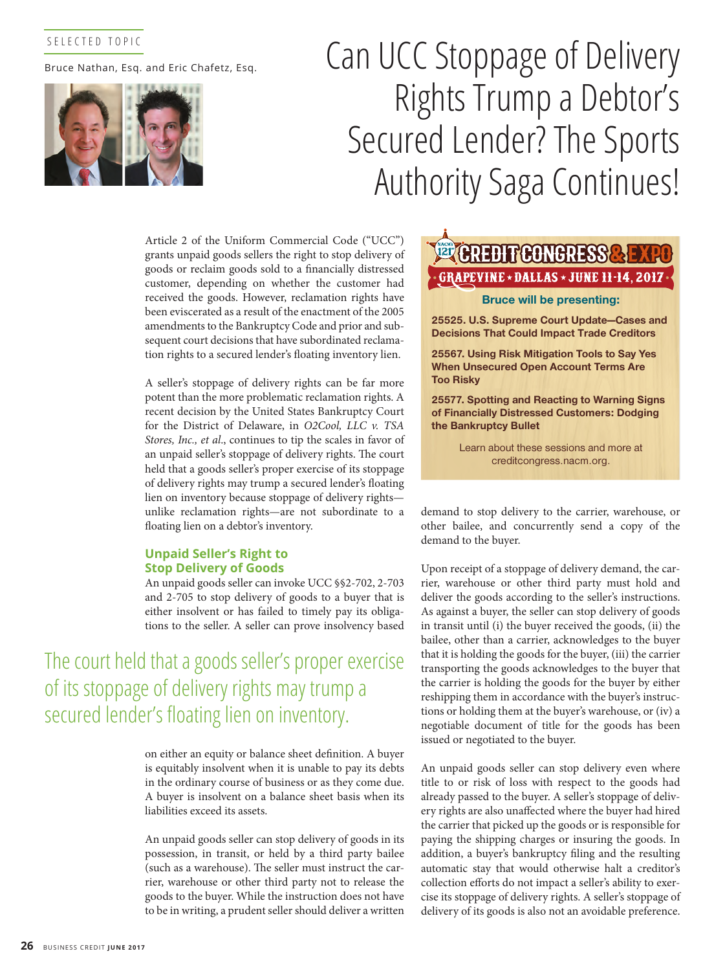## SELECTED TOPIC

Bruce Nathan, Esq. and Eric Chafetz, Esq.



# Can UCC Stoppage of Delivery Rights Trump a Debtor's Secured Lender? The Sports Authority Saga Continues!

Article 2 of the Uniform Commercial Code ("UCC") grants unpaid goods sellers the right to stop delivery of goods or reclaim goods sold to a financially distressed customer, depending on whether the customer had received the goods. However, reclamation rights have been eviscerated as a result of the enactment of the 2005 amendments to the Bankruptcy Code and prior and subsequent court decisions that have subordinated reclamation rights to a secured lender's floating inventory lien.

A seller's stoppage of delivery rights can be far more potent than the more problematic reclamation rights. A recent decision by the United States Bankruptcy Court for the District of Delaware, in *O2Cool, LLC v. TSA Stores, Inc., et al*., continues to tip the scales in favor of an unpaid seller's stoppage of delivery rights. The court held that a goods seller's proper exercise of its stoppage of delivery rights may trump a secured lender's floating lien on inventory because stoppage of delivery rights unlike reclamation rights—are not subordinate to a floating lien on a debtor's inventory.

### **Unpaid Seller's Right to Stop Delivery of Goods**

An unpaid goods seller can invoke UCC §§2-702, 2-703 and 2-705 to stop delivery of goods to a buyer that is either insolvent or has failed to timely pay its obligations to the seller. A seller can prove insolvency based

The court held that a goods seller's proper exercise of its stoppage of delivery rights may trump a secured lender's floating lien on inventory.

> on either an equity or balance sheet definition. A buyer is equitably insolvent when it is unable to pay its debts in the ordinary course of business or as they come due. A buyer is insolvent on a balance sheet basis when its liabilities exceed its assets.

> An unpaid goods seller can stop delivery of goods in its possession, in transit, or held by a third party bailee (such as a warehouse). The seller must instruct the carrier, warehouse or other third party not to release the goods to the buyer. While the instruction does not have to be in writing, a prudent seller should deliver a written

## Reongr GRAPEVINE \* DALLAS \* JUNE 11-14, 2017

#### **Bruce will be presenting:**

**25525. U.S. Supreme Court Update—Cases and Decisions That Could Impact Trade Creditors** 

**25567. Using Risk Mitigation Tools to Say Yes When Unsecured Open Account Terms Are Too Risky**

**25577. Spotting and Reacting to Warning Signs of Financially Distressed Customers: Dodging the Bankruptcy Bullet**

> Learn about these sessions and more at creditcongress.nacm.org.

demand to stop delivery to the carrier, warehouse, or other bailee, and concurrently send a copy of the demand to the buyer.

Upon receipt of a stoppage of delivery demand, the carrier, warehouse or other third party must hold and deliver the goods according to the seller's instructions. As against a buyer, the seller can stop delivery of goods in transit until (i) the buyer received the goods, (ii) the bailee, other than a carrier, acknowledges to the buyer that it is holding the goods for the buyer, (iii) the carrier transporting the goods acknowledges to the buyer that the carrier is holding the goods for the buyer by either reshipping them in accordance with the buyer's instructions or holding them at the buyer's warehouse, or (iv) a negotiable document of title for the goods has been issued or negotiated to the buyer.

An unpaid goods seller can stop delivery even where title to or risk of loss with respect to the goods had already passed to the buyer. A seller's stoppage of delivery rights are also unaffected where the buyer had hired the carrier that picked up the goods or is responsible for paying the shipping charges or insuring the goods. In addition, a buyer's bankruptcy filing and the resulting automatic stay that would otherwise halt a creditor's collection efforts do not impact a seller's ability to exercise its stoppage of delivery rights. A seller's stoppage of delivery of its goods is also not an avoidable preference.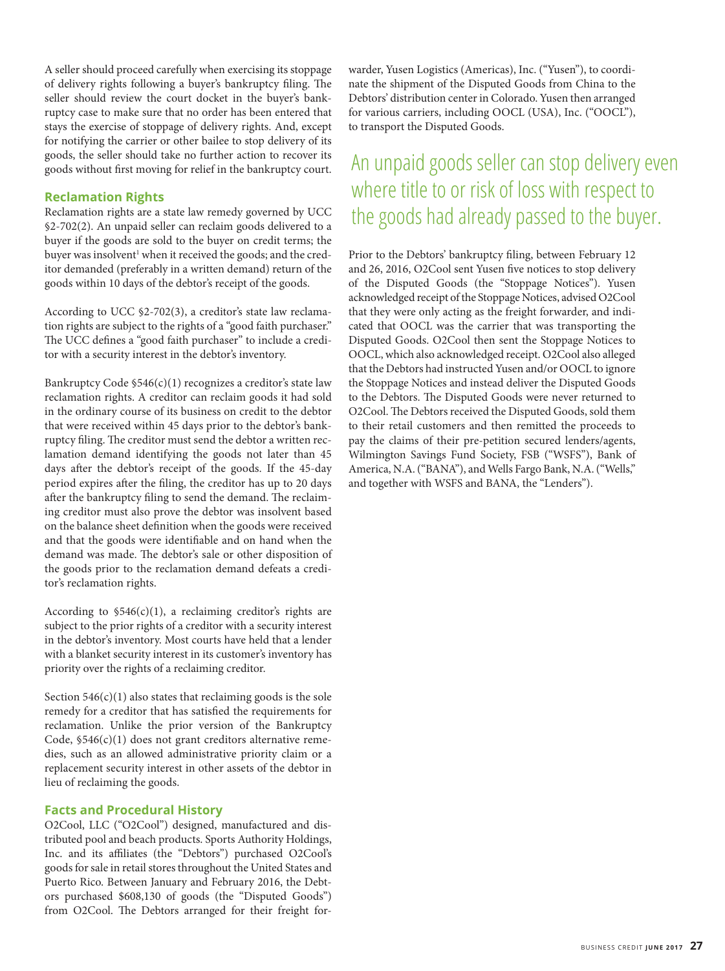A seller should proceed carefully when exercising its stoppage of delivery rights following a buyer's bankruptcy filing. The seller should review the court docket in the buyer's bankruptcy case to make sure that no order has been entered that stays the exercise of stoppage of delivery rights. And, except for notifying the carrier or other bailee to stop delivery of its goods, the seller should take no further action to recover its goods without first moving for relief in the bankruptcy court.

#### **Reclamation Rights**

Reclamation rights are a state law remedy governed by UCC §2-702(2). An unpaid seller can reclaim goods delivered to a buyer if the goods are sold to the buyer on credit terms; the buyer was insolvent<sup>1</sup> when it received the goods; and the creditor demanded (preferably in a written demand) return of the goods within 10 days of the debtor's receipt of the goods.

According to UCC §2-702(3), a creditor's state law reclamation rights are subject to the rights of a "good faith purchaser." The UCC defines a "good faith purchaser" to include a creditor with a security interest in the debtor's inventory.

Bankruptcy Code §546(c)(1) recognizes a creditor's state law reclamation rights. A creditor can reclaim goods it had sold in the ordinary course of its business on credit to the debtor that were received within 45 days prior to the debtor's bankruptcy filing. The creditor must send the debtor a written reclamation demand identifying the goods not later than 45 days after the debtor's receipt of the goods. If the 45-day period expires after the filing, the creditor has up to 20 days after the bankruptcy filing to send the demand. The reclaiming creditor must also prove the debtor was insolvent based on the balance sheet definition when the goods were received and that the goods were identifiable and on hand when the demand was made. The debtor's sale or other disposition of the goods prior to the reclamation demand defeats a creditor's reclamation rights.

According to  $$546(c)(1)$ , a reclaiming creditor's rights are subject to the prior rights of a creditor with a security interest in the debtor's inventory. Most courts have held that a lender with a blanket security interest in its customer's inventory has priority over the rights of a reclaiming creditor.

Section  $546(c)(1)$  also states that reclaiming goods is the sole remedy for a creditor that has satisfied the requirements for reclamation. Unlike the prior version of the Bankruptcy Code, §546(c)(1) does not grant creditors alternative remedies, such as an allowed administrative priority claim or a replacement security interest in other assets of the debtor in lieu of reclaiming the goods.

#### **Facts and Procedural History**

O2Cool, LLC ("O2Cool") designed, manufactured and distributed pool and beach products. Sports Authority Holdings, Inc. and its affiliates (the "Debtors") purchased O2Cool's goods for sale in retail stores throughout the United States and Puerto Rico. Between January and February 2016, the Debtors purchased \$608,130 of goods (the "Disputed Goods") from O2Cool. The Debtors arranged for their freight forwarder, Yusen Logistics (Americas), Inc. ("Yusen"), to coordinate the shipment of the Disputed Goods from China to the Debtors' distribution center in Colorado. Yusen then arranged for various carriers, including OOCL (USA), Inc. ("OOCL"), to transport the Disputed Goods.

# An unpaid goods seller can stop delivery even where title to or risk of loss with respect to the goods had already passed to the buyer.

Prior to the Debtors' bankruptcy filing, between February 12 and 26, 2016, O2Cool sent Yusen five notices to stop delivery of the Disputed Goods (the "Stoppage Notices"). Yusen acknowledged receipt of the Stoppage Notices, advised O2Cool that they were only acting as the freight forwarder, and indicated that OOCL was the carrier that was transporting the Disputed Goods. O2Cool then sent the Stoppage Notices to OOCL, which also acknowledged receipt. O2Cool also alleged that the Debtors had instructed Yusen and/or OOCL to ignore the Stoppage Notices and instead deliver the Disputed Goods to the Debtors. The Disputed Goods were never returned to O2Cool. The Debtors received the Disputed Goods, sold them to their retail customers and then remitted the proceeds to pay the claims of their pre-petition secured lenders/agents, Wilmington Savings Fund Society, FSB ("WSFS"), Bank of America, N.A. ("BANA"), and Wells Fargo Bank, N.A. ("Wells," and together with WSFS and BANA, the "Lenders").